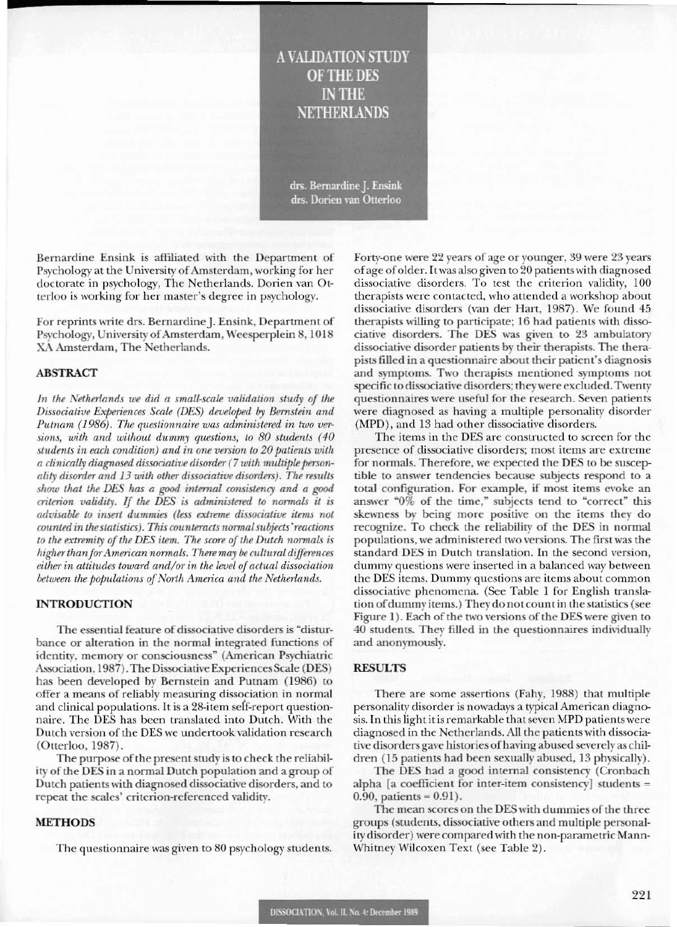# **A VALIDATION STUDY OF THE DES IN THE NETHERLANDS**

drs. Bernardine J. Ensink drs. Dorien van Otterloo

Bernardine Ensink is affiliated with the Department of Psychology at the University of Amsterdam, working for her doctorate in psychology, The Netherlands. Dorien van Otterloo is working for her master's degree in psychology.

For reprints write drs. Bernardine J. Ensink, Department of Psychology, University of Amsterdam, Weesperplein 8, 1018 XA Amsterdam, The Netherlands.

#### **ABSTRACT**

In the Netherlands we did a small-scale validation study of the Dissociative Experiences Scale (DES) developed by Bernstein and Putnam (1986). The questionnaire was administered in two versions, with and without dummy questions, to 80 students (40 students in each condition) and in one version to 20 patients with a clinically diagnosed dissociative disorder (7 with multiple personality disorder and 13 with other dissociative disorders). The results show that the DES has a good internal consistency and a good criterion validity. If the DES is administered to normals it is advisable to insert dummies (less extreme dissociative items not counted in the statistics). This counteracts normal subjects' reactions to the extremity of the DES item. The score of the Dutch normals is higher than for American normals. There may be cultural differences either in attitudes toward and/or in the level of actual dissociation between the populations of North America and the Netherlands.

#### **INTRODUCTION**

The essential feature of dissociative disorders is "disturbance or alteration in the normal integrated functions of identity, memory or consciousness" (American Psychiatric Association, 1987). The Dissociative Experiences Scale (DES) has been developed by Bernstein and Putnam (1986) to offer a means of reliably measuring dissociation in normal and clinical populations. It is a 28-item self-report questionnaire. The DES has been translated into Dutch. With the Dutch version of the DES we undertook validation research (Otterloo, 1987).

The purpose of the present study is to check the reliability of the DES in a normal Dutch population and a group of Dutch patients with diagnosed dissociative disorders, and to repeat the scales' criterion-referenced validity.

#### **METHODS**

The questionnaire was given to 80 psychology students.

Forty-one were 22 years of age or younger, 39 were 23 years of age of older. It was also given to 20 patients with diagnosed dissociative disorders. To test the criterion validity, 100 therapists were contacted, who attended a workshop about dissociative disorders (van der Hart, 1987). We found 45 therapists willing to participate; 16 had patients with dissociative disorders. The DES was given to 23 ambulatory dissociative disorder patients by their therapists. The therapists filled in a questionnaire about their patient's diagnosis and symptoms. Two therapists mentioned symptoms not specific to dissociative disorders; they were excluded. Twenty questionnaires were useful for the research. Seven patients were diagnosed as having a multiple personality disorder (MPD), and 13 had other dissociative disorders.

The items in the DES are constructed to screen for the presence of dissociative disorders; most items are extreme for normals. Therefore, we expected the DES to be susceptible to answer tendencies because subjects respond to a total configuration. For example, if most items evoke an answer "0% of the time," subjects tend to "correct" this skewness by being more positive on the items they do recognize. To check the reliability of the DES in normal populations, we administered two versions. The first was the standard DES in Dutch translation. In the second version, dummy questions were inserted in a balanced way between the DES items. Dummy questions are items about common dissociative phenomena. (See Table 1 for English translation of dummy items.) They do not count in the statistics (see Figure 1). Each of the two versions of the DES were given to 40 students. They filled in the questionnaires individually and anonymously.

#### **RESULTS**

There are some assertions (Fahy, 1988) that multiple personality disorder is nowadays a typical American diagnosis. In this light it is remarkable that seven MPD patients were diagnosed in the Netherlands. All the patients with dissociative disorders gave histories of having abused severely as children (15 patients had been sexually abused, 13 physically).

The DES had a good internal consistency (Cronbach alpha [a coefficient for inter-item consistency] students =  $0.90$ , patients =  $0.91$ ).

The mean scores on the DES with dummies of the three groups (students, dissociative others and multiple personality disorder) were compared with the non-parametric Mann-Whitney Wilcoxen Text (see Table 2).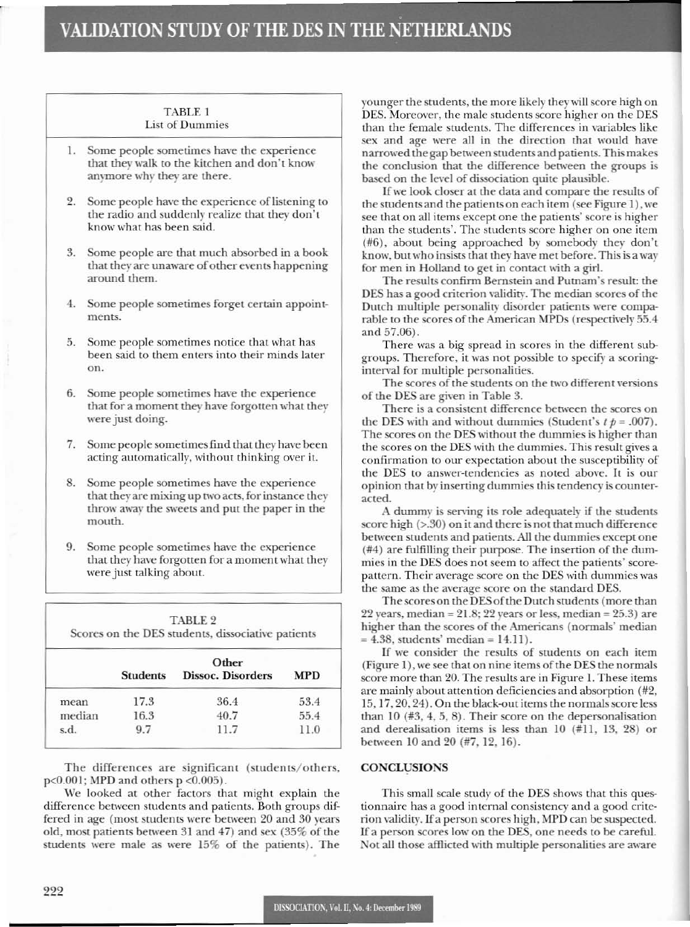## TABLE 1 **List of Dummies**

- 1. Some people sometimes have the experience that they walk to the kitchen and don't know anymore why they are there.
- Some people have the experience of listening to  $2.$ the radio and suddenly realize that they don't know what has been said.
- Some people are that much absorbed in a book 3. that they are unaware of other events happening around them.
- 4. Some people sometimes forget certain appointments.
- Some people sometimes notice that what has 5. been said to them enters into their minds later on.
- Some people sometimes have the experience 6. that for a moment they have forgotten what they were just doing.
- 7. Some people sometimes find that they have been acting automatically, without thinking over it.
- 8. Some people sometimes have the experience that they are mixing up two acts, for instance they throw away the sweets and put the paper in the mouth.
- 9. Some people sometimes have the experience that they have forgotten for a moment what they were just talking about.

| TABLE 2<br>Scores on the DES students, dissociative patients |                                                             |      |      |  |  |  |
|--------------------------------------------------------------|-------------------------------------------------------------|------|------|--|--|--|
|                                                              | Other<br>Dissoc. Disorders<br><b>Students</b><br><b>MPD</b> |      |      |  |  |  |
| mean                                                         | 17.3                                                        | 36.4 | 53.4 |  |  |  |
| median                                                       | 16.3                                                        | 40.7 | 55.4 |  |  |  |
| s.d.                                                         | 9.7                                                         | 11.7 | 11.0 |  |  |  |

The differences are significant (students/others,  $p<0.001$ ; MPD and others  $p < 0.005$ ).

We looked at other factors that might explain the difference between students and patients. Both groups differed in age (most students were between 20 and 30 years old, most patients between 31 and 47) and sex (35% of the students were male as were 15% of the patients). The younger the students, the more likely they will score high on DES. Moreover, the male students score higher on the DES than the female students. The differences in variables like sex and age were all in the direction that would have narrowed the gap between students and patients. This makes the conclusion that the difference between the groups is based on the level of dissociation quite plausible.

If we look closer at the data and compare the results of the students and the patients on each item (see Figure 1), we see that on all items except one the patients' score is higher than the students'. The students score higher on one item (#6), about being approached by somebody they don't know, but who insists that they have met before. This is a way for men in Holland to get in contact with a girl.

The results confirm Bernstein and Putnam's result: the DES has a good criterion validity. The median scores of the Dutch multiple personality disorder patients were comparable to the scores of the American MPDs (respectively 55.4 and 57.06).

There was a big spread in scores in the different subgroups. Therefore, it was not possible to specify a scoringinterval for multiple personalities.

The scores of the students on the two different versions of the DES are given in Table 3.

There is a consistent difference between the scores on the DES with and without dummies (Student's  $t p = .007$ ). The scores on the DES without the dummies is higher than the scores on the DES with the dummies. This result gives a confirmation to our expectation about the susceptibility of the DES to answer-tendencies as noted above. It is our opinion that by inserting dummies this tendency is counteracted.

A dummy is serving its role adequately if the students score high (>.30) on it and there is not that much difference between students and patients. All the dummies except one  $(\#4)$  are fulfilling their purpose. The insertion of the dummies in the DES does not seem to affect the patients' scorepattern. Their average score on the DES with dummies was the same as the average score on the standard DES.

The scores on the DES of the Dutch students (more than  $22$  years, median =  $21.8$ ;  $22$  years or less, median =  $25.3$ ) are higher than the scores of the Americans (normals' median  $= 4.38$ , students' median  $= 14.11$ .

If we consider the results of students on each item (Figure 1), we see that on nine items of the DES the normals score more than 20. The results are in Figure 1. These items are mainly about attention deficiencies and absorption (#2, 15, 17, 20, 24). On the black-out items the normals score less than  $10$  (#3, 4, 5, 8). Their score on the depersonalisation and derealisation items is less than  $10$  (#11, 13, 28) or between 10 and 20 (#7, 12, 16).

## **CONCLUSIONS**

This small scale study of the DES shows that this questionnaire has a good internal consistency and a good criterion validity. If a person scores high, MPD can be suspected. If a person scores low on the DES, one needs to be careful. Not all those afflicted with multiple personalities are aware